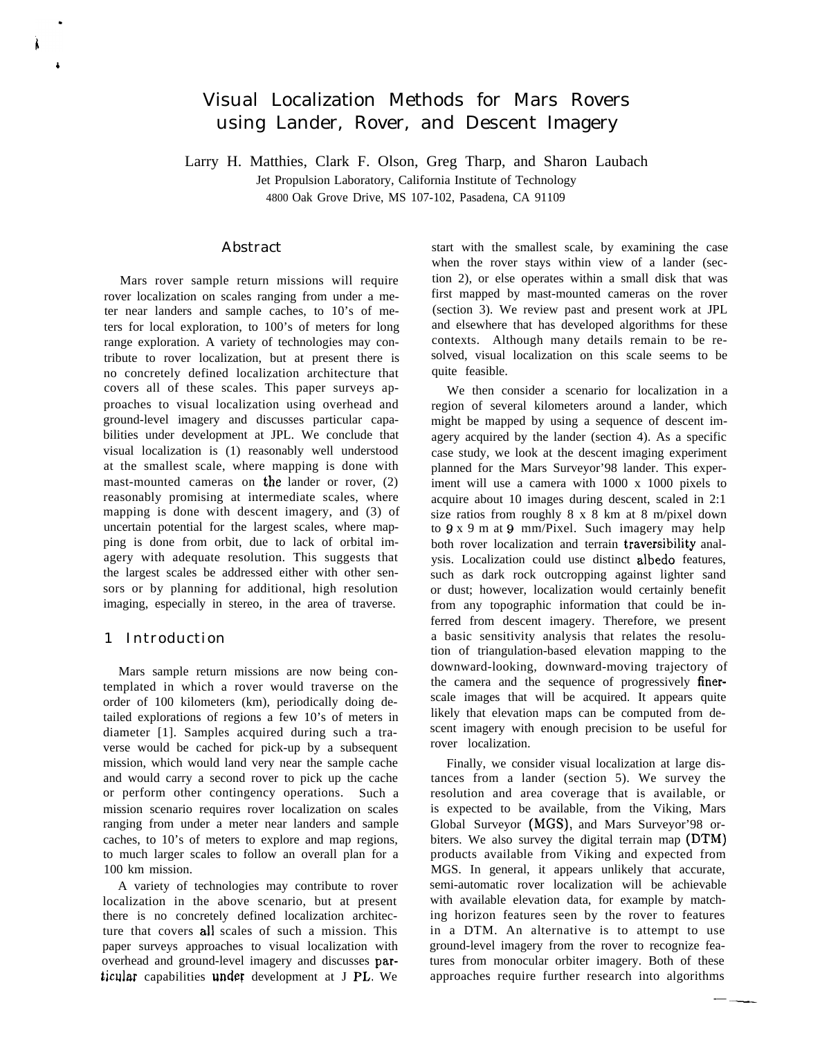# Visual Localization Methods for Mars Rovers using Lander, Rover, and Descent Imagery

Larry H. Matthies, Clark F. Olson, Greg Tharp, and Sharon Laubach

Jet Propulsion Laboratory, California Institute of Technology 4800 Oak Grove Drive, MS 107-102, Pasadena, CA 91109

Abstract

Mars rover sample return missions will require rover localization on scales ranging from under a meter near landers and sample caches, to 10's of meters for local exploration, to 100's of meters for long range exploration. A variety of technologies may contribute to rover localization, but at present there is no concretely defined localization architecture that covers all of these scales. This paper surveys approaches to visual localization using overhead and ground-level imagery and discusses particular capabilities under development at JPL. We conclude that visual localization is (1) reasonably well understood at the smallest scale, where mapping is done with mast-mounted cameras on the lander or rover, (2) reasonably promising at intermediate scales, where mapping is done with descent imagery, and (3) of uncertain potential for the largest scales, where mapping is done from orbit, due to lack of orbital imagery with adequate resolution. This suggests that the largest scales be addressed either with other sensors or by planning for additional, high resolution imaging, especially in stereo, in the area of traverse.

## 1 Introduction

b

Mars sample return missions are now being contemplated in which a rover would traverse on the order of 100 kilometers (km), periodically doing detailed explorations of regions a few 10's of meters in diameter [1]. Samples acquired during such a traverse would be cached for pick-up by a subsequent mission, which would land very near the sample cache and would carry a second rover to pick up the cache or perform other contingency operations. Such a mission scenario requires rover localization on scales ranging from under a meter near landers and sample caches, to 10's of meters to explore and map regions, to much larger scales to follow an overall plan for a 100 km mission.

A variety of technologies may contribute to rover localization in the above scenario, but at present there is no concretely defined localization architecture that covers all scales of such a mission. This paper surveys approaches to visual localization with overhead and ground-level imagery and discusses particular capabilities under development at J PL. We

start with the smallest scale, by examining the case when the rover stays within view of a lander (section 2), or else operates within a small disk that was first mapped by mast-mounted cameras on the rover (section 3). We review past and present work at JPL and elsewhere that has developed algorithms for these contexts. Although many details remain to be resolved, visual localization on this scale seems to be quite feasible.

We then consider a scenario for localization in a region of several kilometers around a lander, which might be mapped by using a sequence of descent imagery acquired by the lander (section 4). As a specific case study, we look at the descent imaging experiment planned for the Mars Surveyor'98 lander. This experiment will use a camera with 1000 x 1000 pixels to acquire about 10 images during descent, scaled in 2:1 size ratios from roughly 8 x 8 km at 8 m/pixel down to 9 x 9 m at 9 mm/Pixel. Such imagery may help both rover localization and terrain traversibility analysis. Localization could use distinct albedo features, such as dark rock outcropping against lighter sand or dust; however, localization would certainly benefit from any topographic information that could be inferred from descent imagery. Therefore, we present a basic sensitivity analysis that relates the resolution of triangulation-based elevation mapping to the downward-looking, downward-moving trajectory of the camera and the sequence of progressively finerscale images that will be acquired. It appears quite likely that elevation maps can be computed from descent imagery with enough precision to be useful for rover localization.

Finally, we consider visual localization at large distances from a lander (section 5). We survey the resolution and area coverage that is available, or is expected to be available, from the Viking, Mars Global Surveyor (MGS), and Mars Surveyor'98 orbiters. We also survey the digital terrain map (DTM) products available from Viking and expected from MGS. In general, it appears unlikely that accurate, semi-automatic rover localization will be achievable with available elevation data, for example by matching horizon features seen by the rover to features in a DTM. An alternative is to attempt to use ground-level imagery from the rover to recognize features from monocular orbiter imagery. Both of these approaches require further research into algorithms -— ——.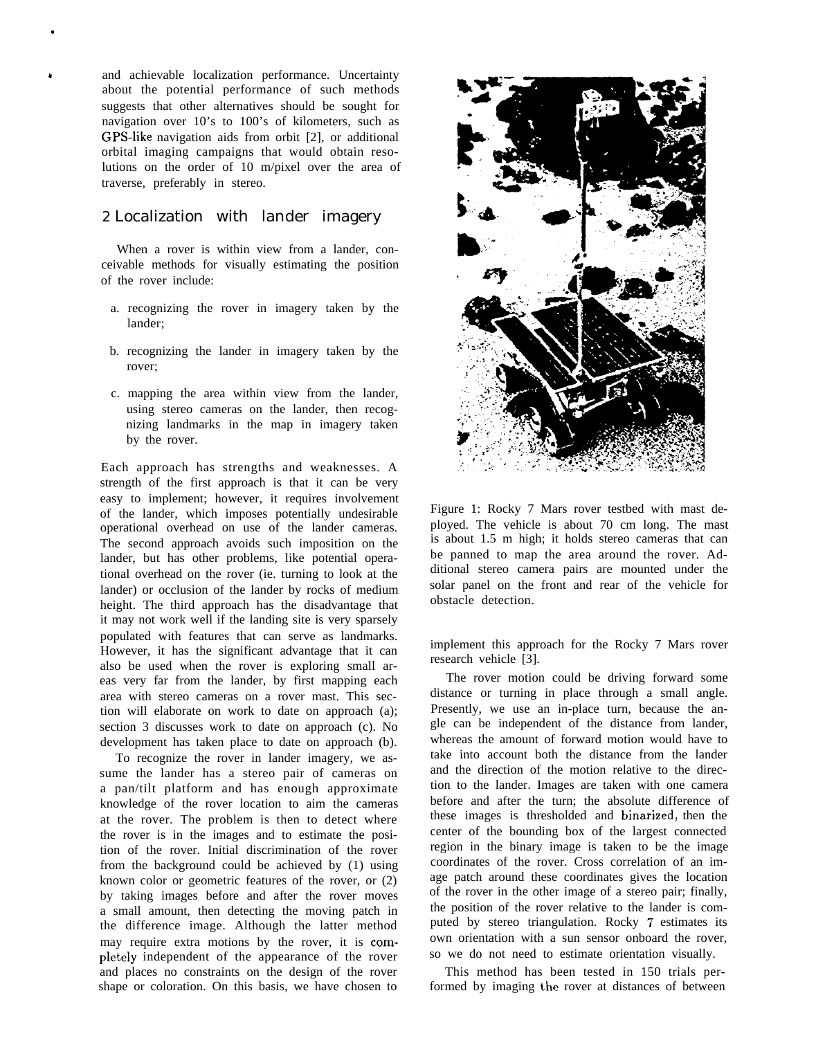and achievable localization performance. Uncertainty about the potential performance of such methods suggests that other alternatives should be sought for navigation over 10's to 100's of kilometers, such as GPS-like navigation aids from orbit [2], or additional orbital imaging campaigns that would obtain resolutions on the order of 10 m/pixel over the area of traverse, preferably in stereo.

,

# 2 Localization with lander imagery

When a rover is within view from a lander, conceivable methods for visually estimating the position of the rover include:

- a. recognizing the rover in imagery taken by the lander;
- b. recognizing the lander in imagery taken by the rover;
- c. mapping the area within view from the lander, using stereo cameras on the lander, then recognizing landmarks in the map in imagery taken by the rover.

Each approach has strengths and weaknesses. A strength of the first approach is that it can be very easy to implement; however, it requires involvement of the lander, which imposes potentially undesirable operational overhead on use of the lander cameras. The second approach avoids such imposition on the lander, but has other problems, like potential operational overhead on the rover (ie. turning to look at the lander) or occlusion of the lander by rocks of medium height. The third approach has the disadvantage that it may not work well if the landing site is very sparsely populated with features that can serve as landmarks. However, it has the significant advantage that it can also be used when the rover is exploring small areas very far from the lander, by first mapping each area with stereo cameras on a rover mast. This section will elaborate on work to date on approach (a); section 3 discusses work to date on approach (c). No development has taken place to date on approach (b).

To recognize the rover in lander imagery, we assume the lander has a stereo pair of cameras on a pan/tilt platform and has enough approximate knowledge of the rover location to aim the cameras at the rover. The problem is then to detect where the rover is in the images and to estimate the position of the rover. Initial discrimination of the rover from the background could be achieved by (1) using known color or geometric features of the rover, or (2) by taking images before and after the rover moves a small amount, then detecting the moving patch in the difference image. Although the latter method may require extra motions by the rover, it is completely independent of the appearance of the rover and places no constraints on the design of the rover shape or coloration. On this basis, we have chosen to



Figure 1: Rocky 7 Mars rover testbed with mast deployed. The vehicle is about 70 cm long. The mast is about 1.5 m high; it holds stereo cameras that can be panned to map the area around the rover. Additional stereo camera pairs are mounted under the solar panel on the front and rear of the vehicle for obstacle detection.

implement this approach for the Rocky 7 Mars rover research vehicle [3].

The rover motion could be driving forward some distance or turning in place through a small angle. Presently, we use an in-place turn, because the angle can be independent of the distance from lander, whereas the amount of forward motion would have to take into account both the distance from the lander and the direction of the motion relative to the direction to the lander. Images are taken with one camera before and after the turn; the absolute difference of these images is thresholded and binarized, then the center of the bounding box of the largest connected region in the binary image is taken to be the image coordinates of the rover. Cross correlation of an image patch around these coordinates gives the location of the rover in the other image of a stereo pair; finally, the position of the rover relative to the lander is computed by stereo triangulation. Rocky 7 estimates its own orientation with a sun sensor onboard the rover, so we do not need to estimate orientation visually.

This method has been tested in 150 trials performed by imaging the rover at distances of between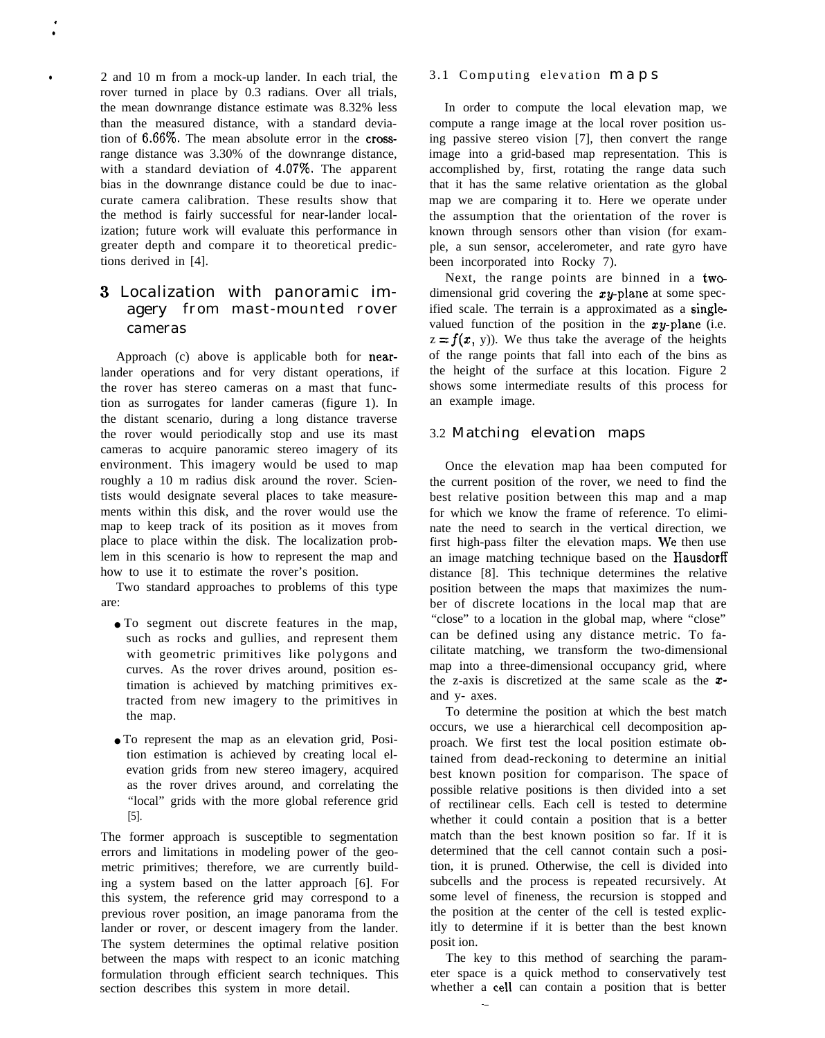2 and 10 m from a mock-up lander. In each trial, the rover turned in place by 0.3 radians. Over all trials, the mean downrange distance estimate was 8.32% less than the measured distance, with a standard deviation of  $6.66\%$ . The mean absolute error in the crossrange distance was 3.30% of the downrange distance, with a standard deviation of  $4.07\%$ . The apparent bias in the downrange distance could be due to inaccurate camera calibration. These results show that the method is fairly successful for near-lander localization; future work will evaluate this performance in greater depth and compare it to theoretical predictions derived in [4].

. ●

# 3 Localization with panoramic imagery from mast-mounted rover cameras

Approach (c) above is applicable both for nearlander operations and for very distant operations, if the rover has stereo cameras on a mast that function as surrogates for lander cameras (figure 1). In the distant scenario, during a long distance traverse the rover would periodically stop and use its mast cameras to acquire panoramic stereo imagery of its environment. This imagery would be used to map roughly a 10 m radius disk around the rover. Scientists would designate several places to take measurements within this disk, and the rover would use the map to keep track of its position as it moves from place to place within the disk. The localization problem in this scenario is how to represent the map and how to use it to estimate the rover's position.

Two standard approaches to problems of this type are:

- To segment out discrete features in the map, such as rocks and gullies, and represent them with geometric primitives like polygons and curves. As the rover drives around, position estimation is achieved by matching primitives extracted from new imagery to the primitives in the map.
- To represent the map as an elevation grid, Position estimation is achieved by creating local elevation grids from new stereo imagery, acquired as the rover drives around, and correlating the "local" grids with the more global reference grid [5].

The former approach is susceptible to segmentation errors and limitations in modeling power of the geometric primitives; therefore, we are currently building a system based on the latter approach [6]. For this system, the reference grid may correspond to a previous rover position, an image panorama from the lander or rover, or descent imagery from the lander. The system determines the optimal relative position between the maps with respect to an iconic matching formulation through efficient search techniques. This section describes this system in more detail.

## 3.1 Computing elevation map s

In order to compute the local elevation map, we compute a range image at the local rover position using passive stereo vision [7], then convert the range image into a grid-based map representation. This is accomplished by, first, rotating the range data such that it has the same relative orientation as the global map we are comparing it to. Here we operate under the assumption that the orientation of the rover is known through sensors other than vision (for example, a sun sensor, accelerometer, and rate gyro have been incorporated into Rocky 7).

Next, the range points are binned in a twodimensional grid covering the  $xy$ -plane at some specified scale. The terrain is a approximated as a singlevalued function of the position in the  $xy$ -plane (i.e.  $z = f(x, y)$ . We thus take the average of the heights of the range points that fall into each of the bins as the height of the surface at this location. Figure 2 shows some intermediate results of this process for an example image.

#### 3.2 Matching elevation maps

Once the elevation map haa been computed for the current position of the rover, we need to find the best relative position between this map and a map for which we know the frame of reference. To eliminate the need to search in the vertical direction, we first high-pass filter the elevation maps. We then use an image matching technique based on the Hausdorff distance [8]. This technique determines the relative position between the maps that maximizes the number of discrete locations in the local map that are "close" to a location in the global map, where "close" can be defined using any distance metric. To facilitate matching, we transform the two-dimensional map into a three-dimensional occupancy grid, where the z-axis is discretized at the same scale as the  $x$ and y- axes.

To determine the position at which the best match occurs, we use a hierarchical cell decomposition approach. We first test the local position estimate obtained from dead-reckoning to determine an initial best known position for comparison. The space of possible relative positions is then divided into a set of rectilinear cells. Each cell is tested to determine whether it could contain a position that is a better match than the best known position so far. If it is determined that the cell cannot contain such a position, it is pruned. Otherwise, the cell is divided into subcells and the process is repeated recursively. At some level of fineness, the recursion is stopped and the position at the center of the cell is tested explicitly to determine if it is better than the best known posit ion.

The key to this method of searching the parameter space is a quick method to conservatively test whether a cell can contain a position that is better

-—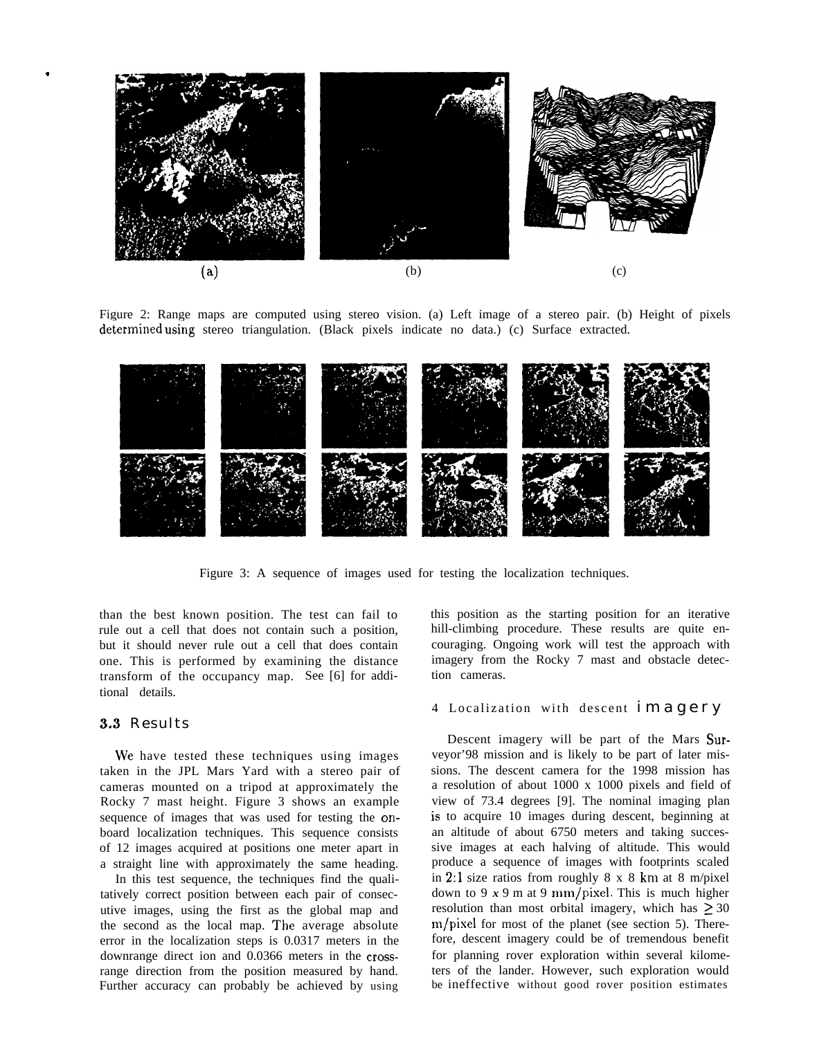

Figure 2: Range maps are computed using stereo vision. (a) Left image of a stereo pair. (b) Height of pixels determined using stereo triangulation. (Black pixels indicate no data.) (c) Surface extracted.



Figure 3: A sequence of images used for testing the localization techniques.

than the best known position. The test can fail to rule out a cell that does not contain such a position, but it should never rule out a cell that does contain one. This is performed by examining the distance transform of the occupancy map. See [6] for additional details.

#### 3.3 Results

\*

We have tested these techniques using images taken in the JPL Mars Yard with a stereo pair of cameras mounted on a tripod at approximately the Rocky 7 mast height. Figure 3 shows an example sequence of images that was used for testing the onboard localization techniques. This sequence consists of 12 images acquired at positions one meter apart in a straight line with approximately the same heading.

In this test sequence, the techniques find the qualitatively correct position between each pair of consecutive images, using the first as the global map and the second as the local map. The average absolute error in the localization steps is 0.0317 meters in the downrange direct ion and 0.0366 meters in the crossrange direction from the position measured by hand. Further accuracy can probably be achieved by using

this position as the starting position for an iterative hill-climbing procedure. These results are quite encouraging. Ongoing work will test the approach with imagery from the Rocky 7 mast and obstacle detection cameras.

#### 4 Localization with descent imagery

Descent imagery will be part of the Mars Surveyor'98 mission and is likely to be part of later missions. The descent camera for the 1998 mission has a resolution of about 1000 x 1000 pixels and field of view of 73.4 degrees [9]. The nominal imaging plan is to acquire 10 images during descent, beginning at an altitude of about 6750 meters and taking successive images at each halving of altitude. This would produce a sequence of images with footprints scaled in 2:1 size ratios from roughly 8 x 8 km at 8 m/pixel down to  $9x9m$  at 9 mm/pixel. This is much higher resolution than most orbital imagery, which has  $\geq 30$ m/pixel for most of the planet (see section 5). Therefore, descent imagery could be of tremendous benefit for planning rover exploration within several kilometers of the lander. However, such exploration would be ineffective without good rover position estimates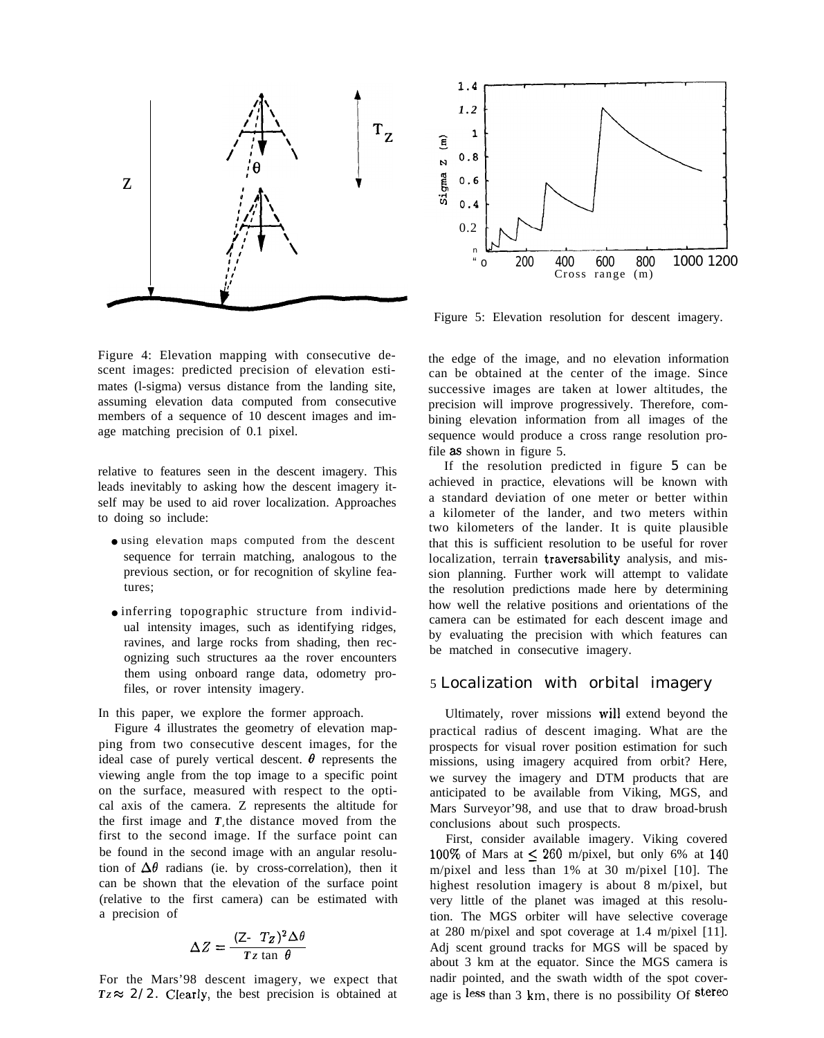

Figure 4: Elevation mapping with consecutive descent images: predicted precision of elevation estimates (l-sigma) versus distance from the landing site, assuming elevation data computed from consecutive members of a sequence of 10 descent images and image matching precision of 0.1 pixel.

relative to features seen in the descent imagery. This leads inevitably to asking how the descent imagery itself may be used to aid rover localization. Approaches to doing so include:

- using elevation maps computed from the descent sequence for terrain matching, analogous to the previous section, or for recognition of skyline features;
- inferring topographic structure from individual intensity images, such as identifying ridges, ravines, and large rocks from shading, then recognizing such structures aa the rover encounters them using onboard range data, odometry profiles, or rover intensity imagery.

In this paper, we explore the former approach.

Figure 4 illustrates the geometry of elevation mapping from two consecutive descent images, for the ideal case of purely vertical descent.  $\theta$  represents the viewing angle from the top image to a specific point on the surface, measured with respect to the optical axis of the camera. Z represents the altitude for the first image and *Tz* the distance moved from the first to the second image. If the surface point can be found in the second image with an angular resolution of  $\Delta\theta$  radians (ie. by cross-correlation), then it can be shown that the elevation of the surface point (relative to the first camera) can be estimated with a precision of

$$
\Delta Z = \frac{(\mathbf{Z} - T_Z)^2 \Delta \theta}{T_Z \tan \theta}
$$

For the Mars'98 descent imagery, we expect that  $Tz \approx 2/2$ . Clearly, the best precision is obtained at



Figure 5: Elevation resolution for descent imagery.

the edge of the image, and no elevation information can be obtained at the center of the image. Since successive images are taken at lower altitudes, the precision will improve progressively. Therefore, combining elevation information from all images of the sequence would produce a cross range resolution profile as shown in figure 5.

If the resolution predicted in figure 5 can be achieved in practice, elevations will be known with a standard deviation of one meter or better within a kilometer of the lander, and two meters within two kilometers of the lander. It is quite plausible that this is sufficient resolution to be useful for rover localization, terrain traversability analysis, and mission planning. Further work will attempt to validate the resolution predictions made here by determining how well the relative positions and orientations of the camera can be estimated for each descent image and by evaluating the precision with which features can be matched in consecutive imagery.

# 5 Localization with orbital imagery

Ultimately, rover missions will extend beyond the practical radius of descent imaging. What are the prospects for visual rover position estimation for such missions, using imagery acquired from orbit? Here, we survey the imagery and DTM products that are anticipated to be available from Viking, MGS, and Mars Surveyor'98, and use that to draw broad-brush conclusions about such prospects.

First, consider available imagery. Viking covered 100% of Mars at  $\leq$  260 m/pixel, but only 6% at 140 m/pixel and less than 1% at 30 m/pixel [10]. The highest resolution imagery is about 8 m/pixel, but very little of the planet was imaged at this resolution. The MGS orbiter will have selective coverage at 280 m/pixel and spot coverage at 1.4 m/pixel [11]. Adj scent ground tracks for MGS will be spaced by about 3 km at the equator. Since the MGS camera is nadir pointed, and the swath width of the spot coverage is less than  $3 \text{ km}$ , there is no possibility Of stereo